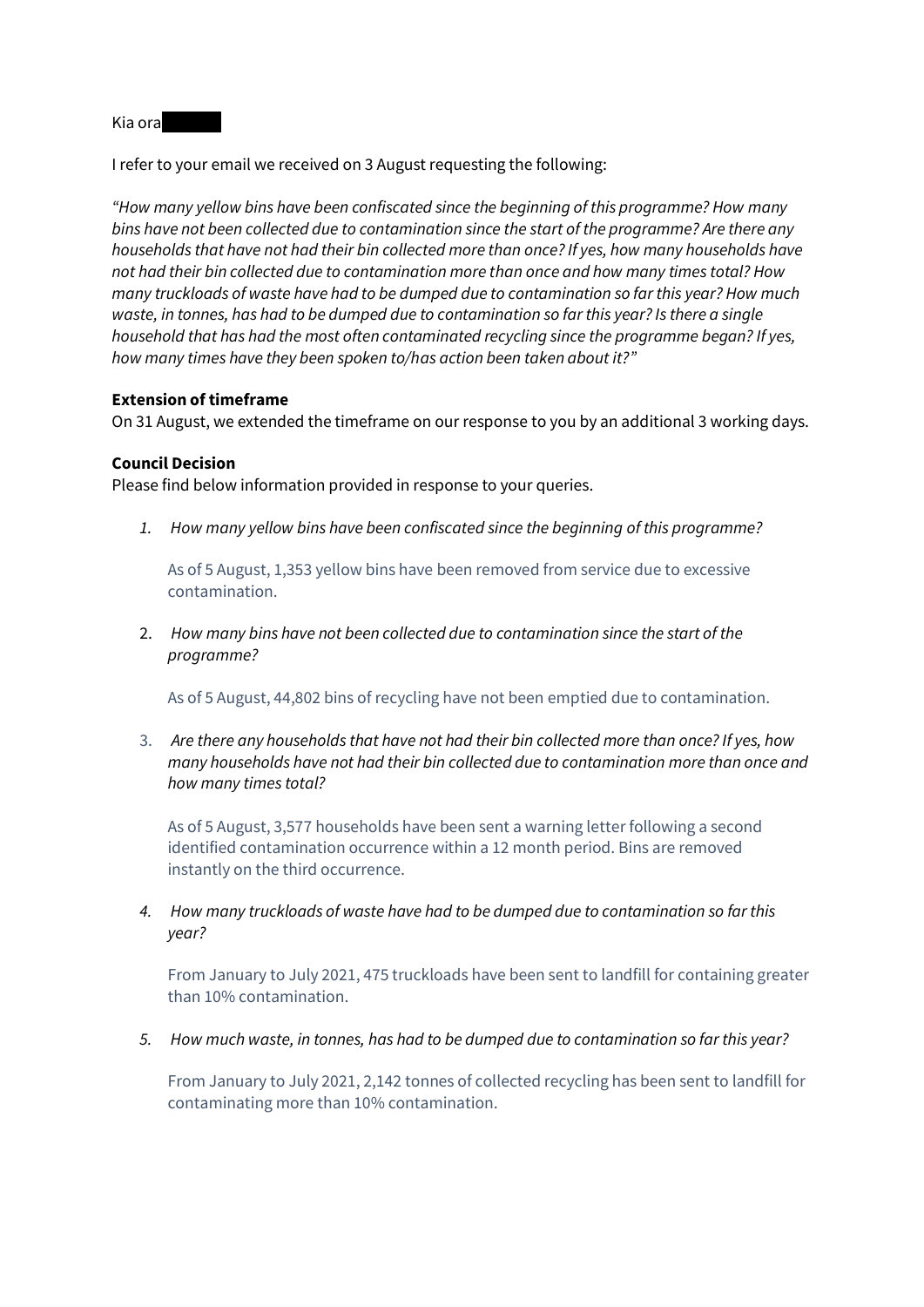Kia ora

I refer to your email we received on 3 August requesting the following:

*"How many yellow bins have been confiscated since the beginning of this programme? How many bins have not been collected due to contamination since the start of the programme? Are there any households that have not had their bin collected more than once? If yes, how many households have not had their bin collected due to contamination more than once and how many times total? How many truckloads of waste have had to be dumped due to contamination so far this year? How much waste, in tonnes, has had to be dumped due to contamination so far this year? Is there a single household that has had the most often contaminated recycling since the programme began? If yes, how many times have they been spoken to/has action been taken about it?"*

## **Extension of timeframe**

On 31 August, we extended the timeframe on our response to you by an additional 3 working days.

## **Council Decision**

Please find below information provided in response to your queries.

*1. How many yellow bins have been confiscated since the beginning of this programme?* 

As of 5 August, 1,353 yellow bins have been removed from service due to excessive contamination.

2. *How many bins have not been collected due to contamination since the start of the programme?*

As of 5 August, 44,802 bins of recycling have not been emptied due to contamination.

3. *Are there any households that have not had their bin collected more than once? If yes, how many households have not had their bin collected due to contamination more than once and how many times total?*

As of 5 August, 3,577 households have been sent a warning letter following a second identified contamination occurrence within a 12 month period. Bins are removed instantly on the third occurrence.

*4. How many truckloads of waste have had to be dumped due to contamination so far this year?*

From January to July 2021, 475 truckloads have been sent to landfill for containing greater than 10% contamination.

*5. How much waste, in tonnes, has had to be dumped due to contamination so far this year?*

From January to July 2021, 2,142 tonnes of collected recycling has been sent to landfill for contaminating more than 10% contamination.